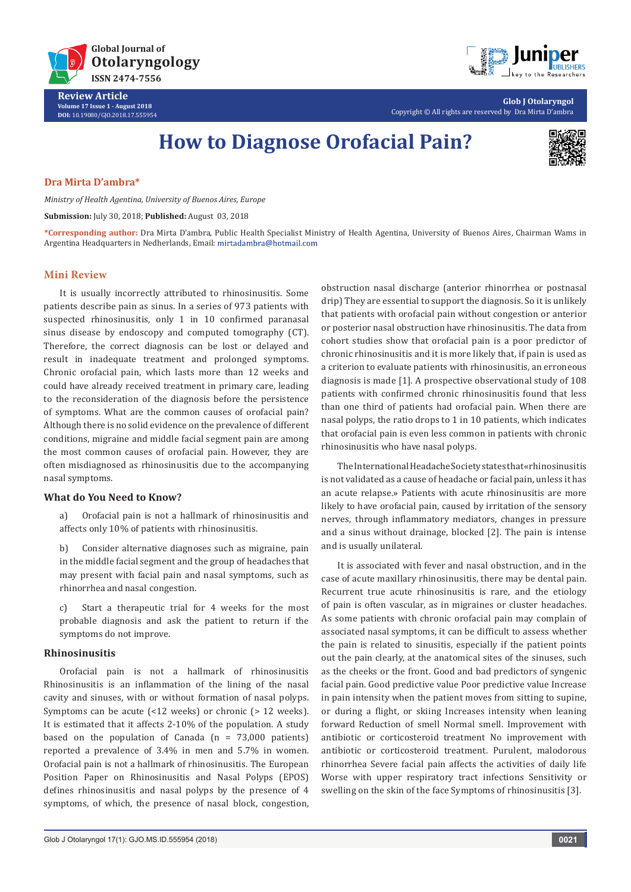



**Glob J Otolaryngol** Copyright © All rights are reserved by Dra Mirta D'ambra

# **How to Diagnose Orofacial Pain?**



# **Dra Mirta D'ambra\***

*Ministry of Health Agentina, University of Buenos Aires, Europe* 

**Submission:** July 30, 2018; **Published:** August 03, 2018

**\*Corresponding author:** Dra Mirta D'ambra, Public Health Specialist Ministry of Health Agentina, University of Buenos Aires, Chairman Wams in Argentina Headquarters in Nedherlands, Email:

#### **Mini Review**

It is usually incorrectly attributed to rhinosinusitis. Some patients describe pain as sinus. In a series of 973 patients with suspected rhinosinusitis, only 1 in 10 confirmed paranasal sinus disease by endoscopy and computed tomography (CT). Therefore, the correct diagnosis can be lost or delayed and result in inadequate treatment and prolonged symptoms. Chronic orofacial pain, which lasts more than 12 weeks and could have already received treatment in primary care, leading to the reconsideration of the diagnosis before the persistence of symptoms. What are the common causes of orofacial pain? Although there is no solid evidence on the prevalence of different conditions, migraine and middle facial segment pain are among the most common causes of orofacial pain. However, they are often misdiagnosed as rhinosinusitis due to the accompanying nasal symptoms.

#### **What do You Need to Know?**

a) Orofacial pain is not a hallmark of rhinosinusitis and affects only 10% of patients with rhinosinusitis.

b) Consider alternative diagnoses such as migraine, pain in the middle facial segment and the group of headaches that may present with facial pain and nasal symptoms, such as rhinorrhea and nasal congestion.

c) Start a therapeutic trial for 4 weeks for the most probable diagnosis and ask the patient to return if the symptoms do not improve.

# **Rhinosinusitis**

Orofacial pain is not a hallmark of rhinosinusitis Rhinosinusitis is an inflammation of the lining of the nasal cavity and sinuses, with or without formation of nasal polyps. Symptoms can be acute (<12 weeks) or chronic (> 12 weeks). It is estimated that it affects 2-10% of the population. A study based on the population of Canada  $(n = 73,000$  patients) reported a prevalence of 3.4% in men and 5.7% in women. Orofacial pain is not a hallmark of rhinosinusitis. The European Position Paper on Rhinosinusitis and Nasal Polyps (EPOS) defines rhinosinusitis and nasal polyps by the presence of 4 symptoms, of which, the presence of nasal block, congestion,

obstruction nasal discharge (anterior rhinorrhea or postnasal drip) They are essential to support the diagnosis. So it is unlikely that patients with orofacial pain without congestion or anterior or posterior nasal obstruction have rhinosinusitis. The data from cohort studies show that orofacial pain is a poor predictor of chronic rhinosinusitis and it is more likely that, if pain is used as a criterion to evaluate patients with rhinosinusitis, an erroneous diagnosis is made [1]. A prospective observational study of 108 patients with confirmed chronic rhinosinusitis found that less than one third of patients had orofacial pain. When there are nasal polyps, the ratio drops to 1 in 10 patients, which indicates that orofacial pain is even less common in patients with chronic rhinosinusitis who have nasal polyps.

The International Headache Society states that «rhinosinusitis is not validated as a cause of headache or facial pain, unless it has an acute relapse.» Patients with acute rhinosinusitis are more likely to have orofacial pain, caused by irritation of the sensory nerves, through inflammatory mediators, changes in pressure and a sinus without drainage, blocked [2]. The pain is intense and is usually unilateral.

It is associated with fever and nasal obstruction, and in the case of acute maxillary rhinosinusitis, there may be dental pain. Recurrent true acute rhinosinusitis is rare, and the etiology of pain is often vascular, as in migraines or cluster headaches. As some patients with chronic orofacial pain may complain of associated nasal symptoms, it can be difficult to assess whether the pain is related to sinusitis, especially if the patient points out the pain clearly, at the anatomical sites of the sinuses, such as the cheeks or the front. Good and bad predictors of syngenic facial pain. Good predictive value Poor predictive value Increase in pain intensity when the patient moves from sitting to supine, or during a flight, or skiing Increases intensity when leaning forward Reduction of smell Normal smell. Improvement with antibiotic or corticosteroid treatment No improvement with antibiotic or corticosteroid treatment. Purulent, malodorous rhinorrhea Severe facial pain affects the activities of daily life Worse with upper respiratory tract infections Sensitivity or swelling on the skin of the face Symptoms of rhinosinusitis [3].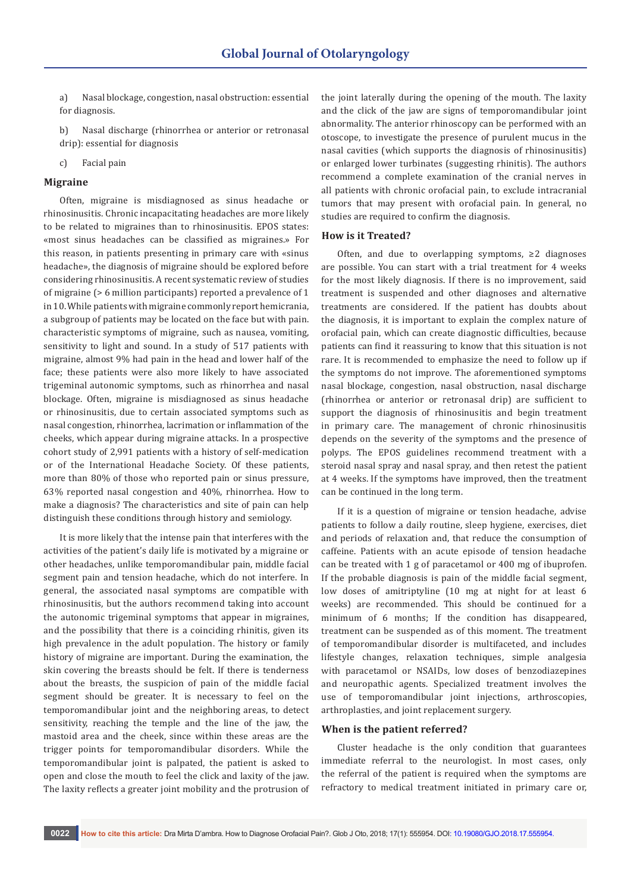a) Nasal blockage, congestion, nasal obstruction: essential for diagnosis.

b) Nasal discharge (rhinorrhea or anterior or retronasal drip): essential for diagnosis

c) Facial pain

#### **Migraine**

Often, migraine is misdiagnosed as sinus headache or rhinosinusitis. Chronic incapacitating headaches are more likely to be related to migraines than to rhinosinusitis. EPOS states: «most sinus headaches can be classified as migraines.» For this reason, in patients presenting in primary care with «sinus headache», the diagnosis of migraine should be explored before considering rhinosinusitis. A recent systematic review of studies of migraine (> 6 million participants) reported a prevalence of 1 in 10. While patients with migraine commonly report hemicrania, a subgroup of patients may be located on the face but with pain. characteristic symptoms of migraine, such as nausea, vomiting, sensitivity to light and sound. In a study of 517 patients with migraine, almost 9% had pain in the head and lower half of the face; these patients were also more likely to have associated trigeminal autonomic symptoms, such as rhinorrhea and nasal blockage. Often, migraine is misdiagnosed as sinus headache or rhinosinusitis, due to certain associated symptoms such as nasal congestion, rhinorrhea, lacrimation or inflammation of the cheeks, which appear during migraine attacks. In a prospective cohort study of 2,991 patients with a history of self-medication or of the International Headache Society. Of these patients, more than 80% of those who reported pain or sinus pressure, 63% reported nasal congestion and 40%, rhinorrhea. How to make a diagnosis? The characteristics and site of pain can help distinguish these conditions through history and semiology.

It is more likely that the intense pain that interferes with the activities of the patient's daily life is motivated by a migraine or other headaches, unlike temporomandibular pain, middle facial segment pain and tension headache, which do not interfere. In general, the associated nasal symptoms are compatible with rhinosinusitis, but the authors recommend taking into account the autonomic trigeminal symptoms that appear in migraines, and the possibility that there is a coinciding rhinitis, given its high prevalence in the adult population. The history or family history of migraine are important. During the examination, the skin covering the breasts should be felt. If there is tenderness about the breasts, the suspicion of pain of the middle facial segment should be greater. It is necessary to feel on the temporomandibular joint and the neighboring areas, to detect sensitivity, reaching the temple and the line of the jaw, the mastoid area and the cheek, since within these areas are the trigger points for temporomandibular disorders. While the temporomandibular joint is palpated, the patient is asked to open and close the mouth to feel the click and laxity of the jaw. The laxity reflects a greater joint mobility and the protrusion of the joint laterally during the opening of the mouth. The laxity and the click of the jaw are signs of temporomandibular joint abnormality. The anterior rhinoscopy can be performed with an otoscope, to investigate the presence of purulent mucus in the nasal cavities (which supports the diagnosis of rhinosinusitis) or enlarged lower turbinates (suggesting rhinitis). The authors recommend a complete examination of the cranial nerves in all patients with chronic orofacial pain, to exclude intracranial tumors that may present with orofacial pain. In general, no studies are required to confirm the diagnosis.

#### **How is it Treated?**

Often, and due to overlapping symptoms, ≥2 diagnoses are possible. You can start with a trial treatment for 4 weeks for the most likely diagnosis. If there is no improvement, said treatment is suspended and other diagnoses and alternative treatments are considered. If the patient has doubts about the diagnosis, it is important to explain the complex nature of orofacial pain, which can create diagnostic difficulties, because patients can find it reassuring to know that this situation is not rare. It is recommended to emphasize the need to follow up if the symptoms do not improve. The aforementioned symptoms nasal blockage, congestion, nasal obstruction, nasal discharge (rhinorrhea or anterior or retronasal drip) are sufficient to support the diagnosis of rhinosinusitis and begin treatment in primary care. The management of chronic rhinosinusitis depends on the severity of the symptoms and the presence of polyps. The EPOS guidelines recommend treatment with a steroid nasal spray and nasal spray, and then retest the patient at 4 weeks. If the symptoms have improved, then the treatment can be continued in the long term.

If it is a question of migraine or tension headache, advise patients to follow a daily routine, sleep hygiene, exercises, diet and periods of relaxation and, that reduce the consumption of caffeine. Patients with an acute episode of tension headache can be treated with 1 g of paracetamol or 400 mg of ibuprofen. If the probable diagnosis is pain of the middle facial segment, low doses of amitriptyline (10 mg at night for at least 6 weeks) are recommended. This should be continued for a minimum of 6 months; If the condition has disappeared, treatment can be suspended as of this moment. The treatment of temporomandibular disorder is multifaceted, and includes lifestyle changes, relaxation techniques, simple analgesia with paracetamol or NSAIDs, low doses of benzodiazepines and neuropathic agents. Specialized treatment involves the use of temporomandibular joint injections, arthroscopies, arthroplasties, and joint replacement surgery.

#### **When is the patient referred?**

Cluster headache is the only condition that guarantees immediate referral to the neurologist. In most cases, only the referral of the patient is required when the symptoms are refractory to medical treatment initiated in primary care or,